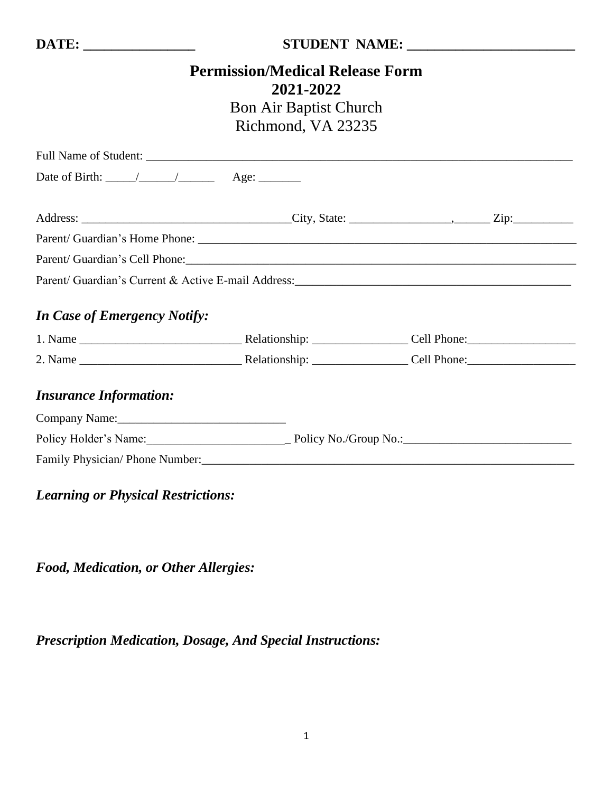#### **DATE: \_\_\_\_\_\_\_\_\_\_\_\_\_\_\_\_ STUDENT NAME: \_\_\_\_\_\_\_\_\_\_\_\_\_\_\_\_\_\_\_\_\_\_\_\_**

# **Permission/Medical Release Form 2021-2022**

# Bon Air Baptist Church Richmond, VA 23235

| Date of Birth: $\_\_\_\_\_\_\_\_\_\_\_\_\_\_\_\_\_\_\_\_\_\_\_\_\_\_\_\_\_\_\_$                                                                                                                                                |  |  |
|--------------------------------------------------------------------------------------------------------------------------------------------------------------------------------------------------------------------------------|--|--|
|                                                                                                                                                                                                                                |  |  |
|                                                                                                                                                                                                                                |  |  |
|                                                                                                                                                                                                                                |  |  |
| Parent/ Guardian's Cell Phone: Call Changes and Contact Contact Contact Contact Contact Contact Contact Contact Contact Contact Contact Contact Contact Contact Contact Contact Contact Contact Contact Contact Contact Contac |  |  |
|                                                                                                                                                                                                                                |  |  |
| <b>In Case of Emergency Notify:</b>                                                                                                                                                                                            |  |  |
|                                                                                                                                                                                                                                |  |  |
|                                                                                                                                                                                                                                |  |  |
| <b>Insurance Information:</b>                                                                                                                                                                                                  |  |  |
| Company Name: 2008                                                                                                                                                                                                             |  |  |
|                                                                                                                                                                                                                                |  |  |
|                                                                                                                                                                                                                                |  |  |

## *Learning or Physical Restrictions:*

*Food, Medication, or Other Allergies:*

*Prescription Medication, Dosage, And Special Instructions:*